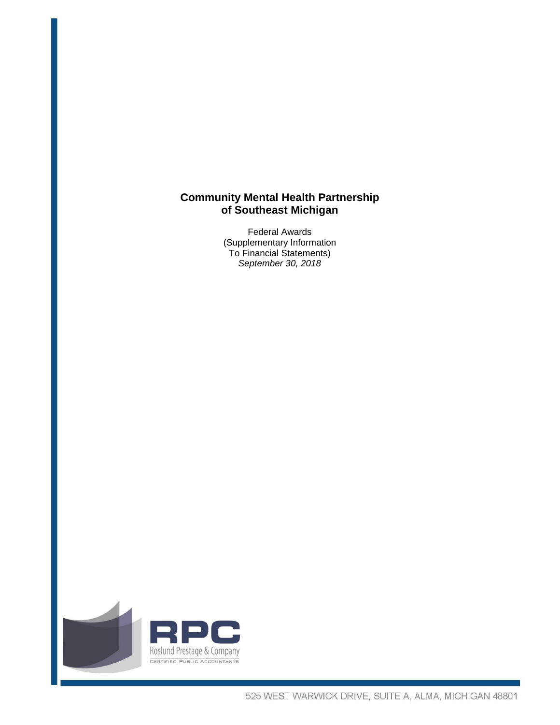# **Community Mental Health Partnership of Southeast Michigan**

Federal Awards (Supplementary Information To Financial Statements) *September 30, 2018*

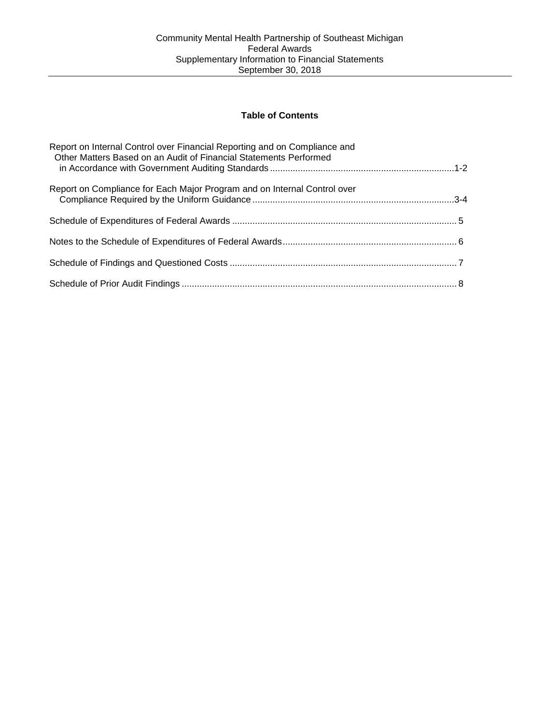## **Table of Contents**

| Report on Internal Control over Financial Reporting and on Compliance and<br>Other Matters Based on an Audit of Financial Statements Performed |  |
|------------------------------------------------------------------------------------------------------------------------------------------------|--|
| Report on Compliance for Each Major Program and on Internal Control over                                                                       |  |
|                                                                                                                                                |  |
|                                                                                                                                                |  |
|                                                                                                                                                |  |
|                                                                                                                                                |  |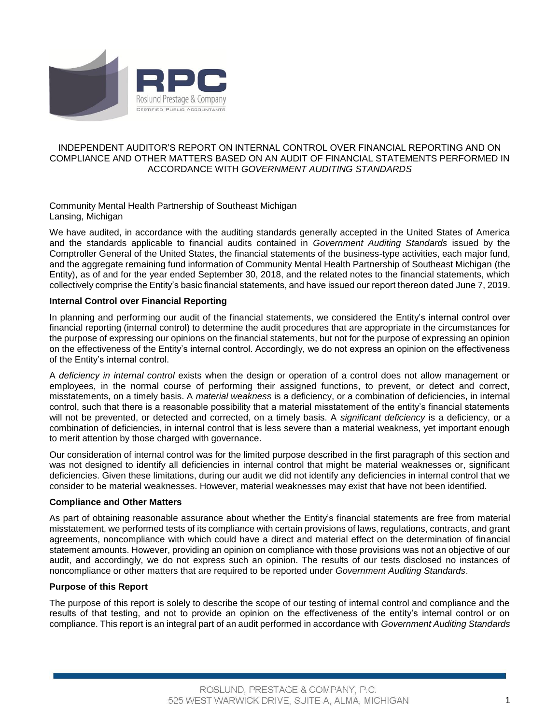

### INDEPENDENT AUDITOR'S REPORT ON INTERNAL CONTROL OVER FINANCIAL REPORTING AND ON COMPLIANCE AND OTHER MATTERS BASED ON AN AUDIT OF FINANCIAL STATEMENTS PERFORMED IN ACCORDANCE WITH *GOVERNMENT AUDITING STANDARDS*

#### Community Mental Health Partnership of Southeast Michigan Lansing, Michigan

We have audited, in accordance with the auditing standards generally accepted in the United States of America and the standards applicable to financial audits contained in *Government Auditing Standards* issued by the Comptroller General of the United States, the financial statements of the business-type activities, each major fund, and the aggregate remaining fund information of Community Mental Health Partnership of Southeast Michigan (the Entity), as of and for the year ended September 30, 2018, and the related notes to the financial statements, which collectively comprise the Entity's basic financial statements, and have issued our report thereon dated June 7, 2019.

## **Internal Control over Financial Reporting**

In planning and performing our audit of the financial statements, we considered the Entity's internal control over financial reporting (internal control) to determine the audit procedures that are appropriate in the circumstances for the purpose of expressing our opinions on the financial statements, but not for the purpose of expressing an opinion on the effectiveness of the Entity's internal control. Accordingly, we do not express an opinion on the effectiveness of the Entity's internal control.

A *deficiency in internal control* exists when the design or operation of a control does not allow management or employees, in the normal course of performing their assigned functions, to prevent, or detect and correct, misstatements, on a timely basis. A *material weakness* is a deficiency, or a combination of deficiencies, in internal control, such that there is a reasonable possibility that a material misstatement of the entity's financial statements will not be prevented, or detected and corrected, on a timely basis. A *significant deficiency* is a deficiency, or a combination of deficiencies, in internal control that is less severe than a material weakness, yet important enough to merit attention by those charged with governance.

Our consideration of internal control was for the limited purpose described in the first paragraph of this section and was not designed to identify all deficiencies in internal control that might be material weaknesses or, significant deficiencies. Given these limitations, during our audit we did not identify any deficiencies in internal control that we consider to be material weaknesses. However, material weaknesses may exist that have not been identified.

## **Compliance and Other Matters**

As part of obtaining reasonable assurance about whether the Entity's financial statements are free from material misstatement, we performed tests of its compliance with certain provisions of laws, regulations, contracts, and grant agreements, noncompliance with which could have a direct and material effect on the determination of financial statement amounts. However, providing an opinion on compliance with those provisions was not an objective of our audit, and accordingly, we do not express such an opinion. The results of our tests disclosed no instances of noncompliance or other matters that are required to be reported under *Government Auditing Standards*.

## **Purpose of this Report**

The purpose of this report is solely to describe the scope of our testing of internal control and compliance and the results of that testing, and not to provide an opinion on the effectiveness of the entity's internal control or on compliance. This report is an integral part of an audit performed in accordance with *Government Auditing Standards*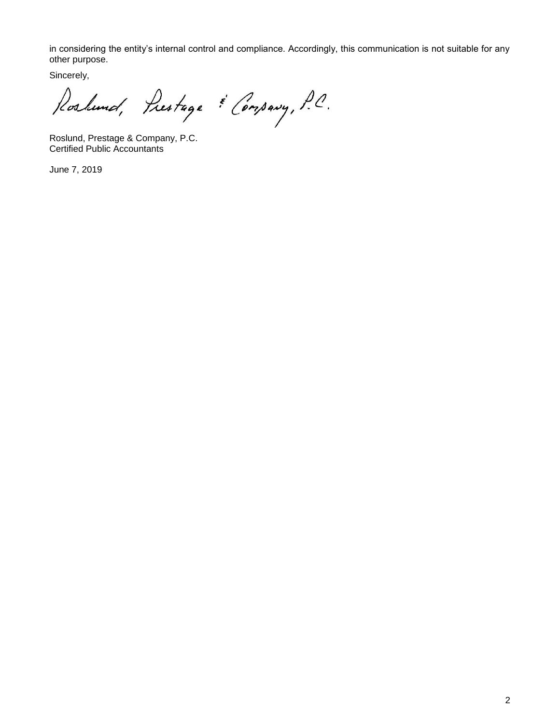in considering the entity's internal control and compliance. Accordingly, this communication is not suitable for any other purpose.

Sincerely,

Roslund, Prestage & Company, P.C.

Roslund, Prestage & Company, P.C. Certified Public Accountants

June 7, 2019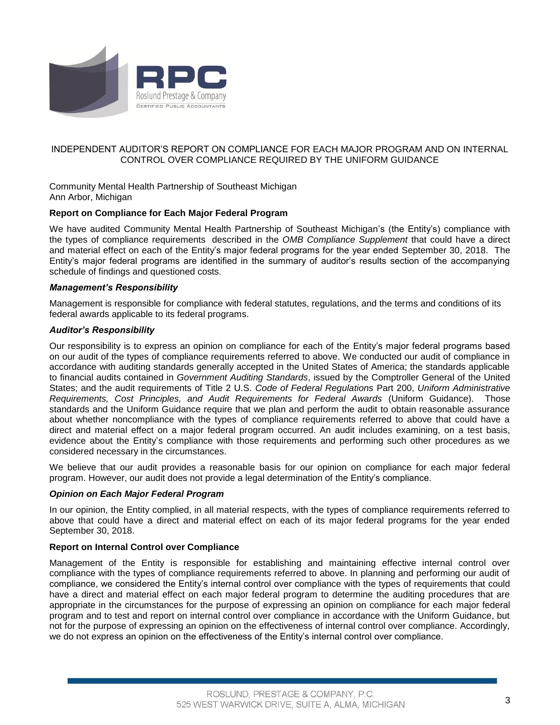

## INDEPENDENT AUDITOR'S REPORT ON COMPLIANCE FOR EACH MAJOR PROGRAM AND ON INTERNAL CONTROL OVER COMPLIANCE REQUIRED BY THE UNIFORM GUIDANCE

Community Mental Health Partnership of Southeast Michigan Ann Arbor, Michigan

#### **Report on Compliance for Each Major Federal Program**

We have audited Community Mental Health Partnership of Southeast Michigan's (the Entity's) compliance with the types of compliance requirements described in the *OMB Compliance Supplement* that could have a direct and material effect on each of the Entity's major federal programs for the year ended September 30, 2018. The Entity's major federal programs are identified in the summary of auditor's results section of the accompanying schedule of findings and questioned costs.

#### *Management's Responsibility*

Management is responsible for compliance with federal statutes, regulations, and the terms and conditions of its federal awards applicable to its federal programs.

#### *Auditor's Responsibility*

Our responsibility is to express an opinion on compliance for each of the Entity's major federal programs based on our audit of the types of compliance requirements referred to above. We conducted our audit of compliance in accordance with auditing standards generally accepted in the United States of America; the standards applicable to financial audits contained in *Government Auditing Standards*, issued by the Comptroller General of the United States; and the audit requirements of Title 2 U.S. *Code of Federal Regulations* Part 200, *Uniform Administrative Requirements, Cost Principles, and Audit Requirements for Federal Awards* (Uniform Guidance). Those standards and the Uniform Guidance require that we plan and perform the audit to obtain reasonable assurance about whether noncompliance with the types of compliance requirements referred to above that could have a direct and material effect on a major federal program occurred. An audit includes examining, on a test basis, evidence about the Entity's compliance with those requirements and performing such other procedures as we considered necessary in the circumstances.

We believe that our audit provides a reasonable basis for our opinion on compliance for each major federal program. However, our audit does not provide a legal determination of the Entity's compliance.

#### *Opinion on Each Major Federal Program*

In our opinion, the Entity complied, in all material respects, with the types of compliance requirements referred to above that could have a direct and material effect on each of its major federal programs for the year ended September 30, 2018.

#### **Report on Internal Control over Compliance**

Management of the Entity is responsible for establishing and maintaining effective internal control over compliance with the types of compliance requirements referred to above. In planning and performing our audit of compliance, we considered the Entity's internal control over compliance with the types of requirements that could have a direct and material effect on each major federal program to determine the auditing procedures that are appropriate in the circumstances for the purpose of expressing an opinion on compliance for each major federal program and to test and report on internal control over compliance in accordance with the Uniform Guidance, but not for the purpose of expressing an opinion on the effectiveness of internal control over compliance. Accordingly, we do not express an opinion on the effectiveness of the Entity's internal control over compliance.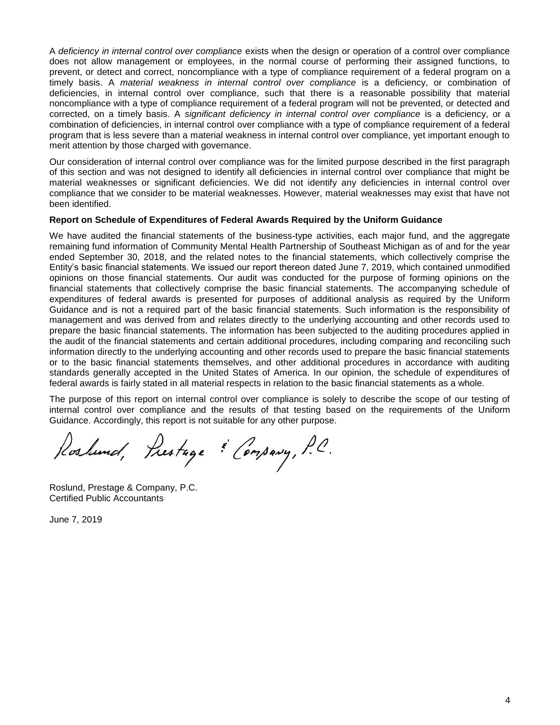A *deficiency in internal control over compliance* exists when the design or operation of a control over compliance does not allow management or employees, in the normal course of performing their assigned functions, to prevent, or detect and correct, noncompliance with a type of compliance requirement of a federal program on a timely basis. A *material weakness in internal control over compliance* is a deficiency, or combination of deficiencies, in internal control over compliance, such that there is a reasonable possibility that material noncompliance with a type of compliance requirement of a federal program will not be prevented, or detected and corrected, on a timely basis. A *significant deficiency in internal control over compliance* is a deficiency, or a combination of deficiencies, in internal control over compliance with a type of compliance requirement of a federal program that is less severe than a material weakness in internal control over compliance, yet important enough to merit attention by those charged with governance.

Our consideration of internal control over compliance was for the limited purpose described in the first paragraph of this section and was not designed to identify all deficiencies in internal control over compliance that might be material weaknesses or significant deficiencies. We did not identify any deficiencies in internal control over compliance that we consider to be material weaknesses. However, material weaknesses may exist that have not been identified.

#### **Report on Schedule of Expenditures of Federal Awards Required by the Uniform Guidance**

We have audited the financial statements of the business-type activities, each major fund, and the aggregate remaining fund information of Community Mental Health Partnership of Southeast Michigan as of and for the year ended September 30, 2018, and the related notes to the financial statements, which collectively comprise the Entity's basic financial statements. We issued our report thereon dated June 7, 2019, which contained unmodified opinions on those financial statements. Our audit was conducted for the purpose of forming opinions on the financial statements that collectively comprise the basic financial statements. The accompanying schedule of expenditures of federal awards is presented for purposes of additional analysis as required by the Uniform Guidance and is not a required part of the basic financial statements. Such information is the responsibility of management and was derived from and relates directly to the underlying accounting and other records used to prepare the basic financial statements. The information has been subjected to the auditing procedures applied in the audit of the financial statements and certain additional procedures, including comparing and reconciling such information directly to the underlying accounting and other records used to prepare the basic financial statements or to the basic financial statements themselves, and other additional procedures in accordance with auditing standards generally accepted in the United States of America. In our opinion, the schedule of expenditures of federal awards is fairly stated in all material respects in relation to the basic financial statements as a whole.

The purpose of this report on internal control over compliance is solely to describe the scope of our testing of internal control over compliance and the results of that testing based on the requirements of the Uniform Guidance. Accordingly, this report is not suitable for any other purpose.

Roshund, Prestage & Company, P.C.

Roslund, Prestage & Company, P.C. Certified Public Accountants

June 7, 2019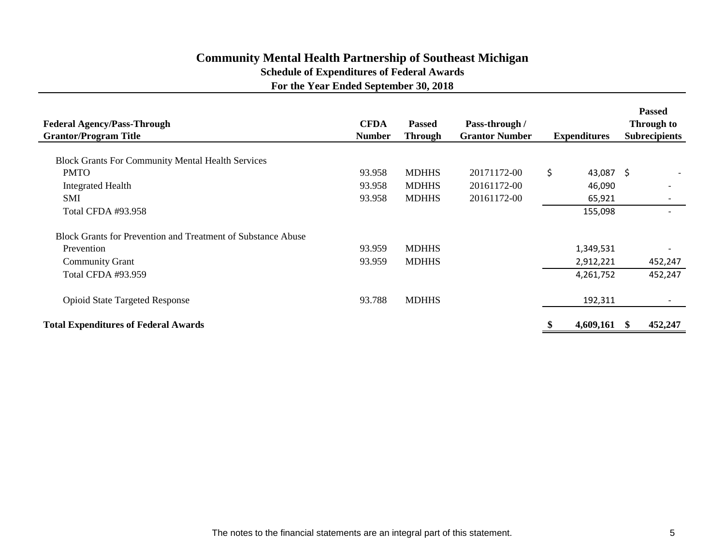# **Community Mental Health Partnership of Southeast Michigan Schedule of Expenditures of Federal Awards**

**For the Year Ended September 30, 2018**

|                                                                     |               |                |                       |                     | <b>Passed</b>        |
|---------------------------------------------------------------------|---------------|----------------|-----------------------|---------------------|----------------------|
| <b>Federal Agency/Pass-Through</b>                                  | <b>CFDA</b>   | <b>Passed</b>  | Pass-through /        |                     | <b>Through to</b>    |
| <b>Grantor/Program Title</b>                                        | <b>Number</b> | <b>Through</b> | <b>Grantor Number</b> | <b>Expenditures</b> | <b>Subrecipients</b> |
|                                                                     |               |                |                       |                     |                      |
| <b>Block Grants For Community Mental Health Services</b>            |               |                |                       |                     |                      |
| <b>PMTO</b>                                                         | 93.958        | <b>MDHHS</b>   | 20171172-00           | \$<br>43,087 \$     |                      |
| <b>Integrated Health</b>                                            | 93.958        | <b>MDHHS</b>   | 20161172-00           | 46,090              |                      |
| <b>SMI</b>                                                          | 93.958        | <b>MDHHS</b>   | 20161172-00           | 65,921              |                      |
| <b>Total CFDA #93.958</b>                                           |               |                |                       | 155,098             |                      |
| <b>Block Grants for Prevention and Treatment of Substance Abuse</b> |               |                |                       |                     |                      |
| Prevention                                                          | 93.959        | <b>MDHHS</b>   |                       | 1,349,531           |                      |
| <b>Community Grant</b>                                              | 93.959        | <b>MDHHS</b>   |                       | 2,912,221           | 452,247              |
| <b>Total CFDA #93.959</b>                                           |               |                |                       | 4,261,752           | 452,247              |
| <b>Opioid State Targeted Response</b>                               | 93.788        | <b>MDHHS</b>   |                       | 192,311             |                      |
| <b>Total Expenditures of Federal Awards</b>                         |               |                |                       | 4,609,161           | 452,247              |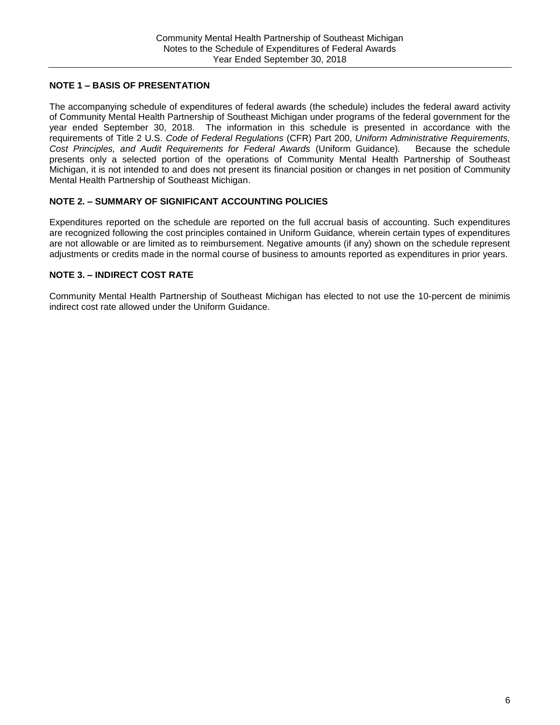## **NOTE 1 – BASIS OF PRESENTATION**

The accompanying schedule of expenditures of federal awards (the schedule) includes the federal award activity of Community Mental Health Partnership of Southeast Michigan under programs of the federal government for the year ended September 30, 2018. The information in this schedule is presented in accordance with the requirements of Title 2 U.S. *Code of Federal Regulations* (CFR) Part 200, *Uniform Administrative Requirements, Cost Principles, and Audit Requirements for Federal Awards* (Uniform Guidance)*.* Because the schedule presents only a selected portion of the operations of Community Mental Health Partnership of Southeast Michigan, it is not intended to and does not present its financial position or changes in net position of Community Mental Health Partnership of Southeast Michigan.

## **NOTE 2. – SUMMARY OF SIGNIFICANT ACCOUNTING POLICIES**

Expenditures reported on the schedule are reported on the full accrual basis of accounting. Such expenditures are recognized following the cost principles contained in Uniform Guidance*,* wherein certain types of expenditures are not allowable or are limited as to reimbursement. Negative amounts (if any) shown on the schedule represent adjustments or credits made in the normal course of business to amounts reported as expenditures in prior years.

## **NOTE 3. – INDIRECT COST RATE**

Community Mental Health Partnership of Southeast Michigan has elected to not use the 10-percent de minimis indirect cost rate allowed under the Uniform Guidance.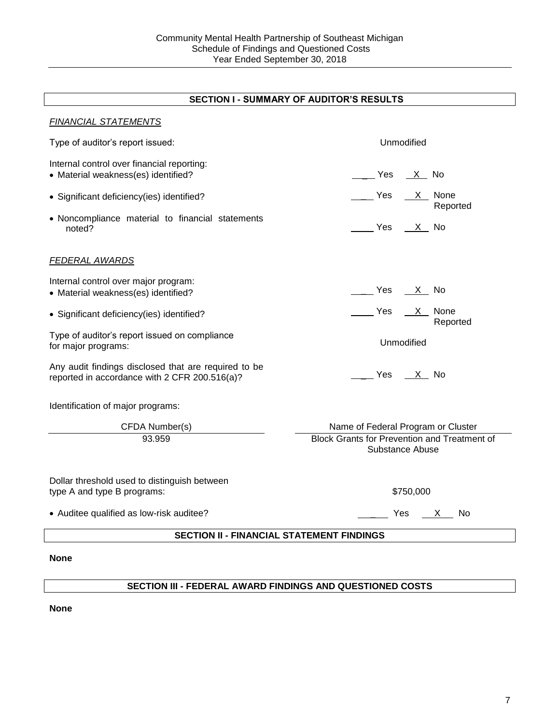## **SECTION I - SUMMARY OF AUDITOR'S RESULTS**

| <b>SECTION II - FINANCIAL STATEMENT FINDINGS</b>                                                      |                                                                        |  |  |  |  |
|-------------------------------------------------------------------------------------------------------|------------------------------------------------------------------------|--|--|--|--|
| • Auditee qualified as low-risk auditee?                                                              | Yes<br>X No                                                            |  |  |  |  |
| Dollar threshold used to distinguish between<br>type A and type B programs:                           | \$750,000                                                              |  |  |  |  |
| 93.959                                                                                                | <b>Block Grants for Prevention and Treatment of</b><br>Substance Abuse |  |  |  |  |
| CFDA Number(s)                                                                                        | Name of Federal Program or Cluster                                     |  |  |  |  |
| Identification of major programs:                                                                     |                                                                        |  |  |  |  |
| Any audit findings disclosed that are required to be<br>reported in accordance with 2 CFR 200.516(a)? | Yes X No                                                               |  |  |  |  |
| Type of auditor's report issued on compliance<br>for major programs:                                  | Unmodified                                                             |  |  |  |  |
| • Significant deficiency(ies) identified?                                                             | Yes<br>X None<br>Reported                                              |  |  |  |  |
| Internal control over major program:<br>• Material weakness(es) identified?                           |                                                                        |  |  |  |  |
| <b>FEDERAL AWARDS</b>                                                                                 |                                                                        |  |  |  |  |
| • Noncompliance material to financial statements<br>noted?                                            |                                                                        |  |  |  |  |
| • Significant deficiency(ies) identified?                                                             | Yes<br>X None<br>Reported                                              |  |  |  |  |
| Internal control over financial reporting:<br>• Material weakness(es) identified?                     | Yes<br>$X$ No                                                          |  |  |  |  |
| Type of auditor's report issued:                                                                      | Unmodified                                                             |  |  |  |  |
| <b>FINANCIAL STATEMENTS</b>                                                                           |                                                                        |  |  |  |  |

#### **None**

## **SECTION III - FEDERAL AWARD FINDINGS AND QUESTIONED COSTS**

**None**